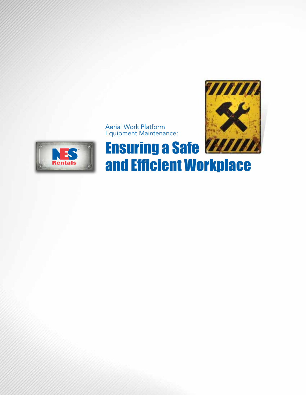

Aerial Work Platform Equipment Maintenance:



# **Ensuring a Safe WANNA** and Efficient Workplace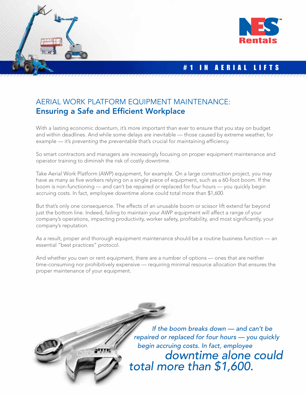

arrent



# # 1 IN AERIAL LIFTS

# AERIAL WORK PLATFORM EQUIPMENT MAINTENANCE: Ensuring a Safe and Efficient Workplace

With a lasting economic downturn, it's more important than ever to ensure that you stay on budget and within deadlines. And while some delays are inevitable — those caused by extreme weather, for example — it's preventing the preventable that's crucial for maintaining efficiency.

So smart contractors and managers are increasingly focusing on proper equipment maintenance and operator training to diminish the risk of costly downtime.

Take Aerial Work Platform (AWP) equipment, for example. On a large construction project, you may have as many as five workers relying on a single piece of equipment, such as a 60-foot boom. If the boom is non-functioning — and can't be repaired or replaced for four hours — you quickly begin accruing costs. In fact, employee downtime alone could total more than \$1,600.

But that's only one consequence. The effects of an unusable boom or scissor lift extend far beyond just the bottom line. Indeed, failing to maintain your AWP equipment will affect a range of your company's operations, impacting productivity, worker safety, profitability, and most significantly, your company's reputation.

As a result, proper and thorough equipment maintenance should be a routine business function –– an essential "best practices" protocol.

And whether you own or rent equipment, there are a number of options — ones that are neither time-consuming nor prohibitively expensive — requiring minimal resource allocation that ensures the proper maintenance of your equipment.

> If the boom breaks down — and can't be repaired or replaced for four hours — you quickly begin accruing costs. In fact, employee downtime alone could total more than \$1,600.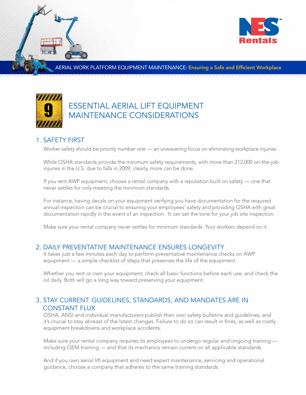

MORK PLATFORM EQUIPMENT MAINTENANCE: Ensuring a Safe and Efficient Workplace



# ESSENTIAL AERIAL LIFT EQUIPMENT MAINTENANCE CONSIDERATIONS

## 1. SAFETY FIRST

Worker safety should be priority number one — an unwavering focus on eliminating workplace injuries.

While OSHA standards provide the minimum safety requirements, with more than 212,000 on-the-job injuries in the U.S. due to falls in 2009, clearly, more can be done.

If you rent AWP equipment, choose a rental company with a reputation built on safety — one that never settles for only meeting the minimum standards.

For instance, having decals on your equipment verifying you have documentation for the required annual inspection can be crucial to ensuring your employees' safety and providing OSHA with great documentation rapidly in the event of an inspection. It can set the tone for your job site inspection.

Make sure your rental company never settles for minimum standards. Your workers depend on it.

#### 2. DAILY PREVENTATIVE MAINTENANCE ENSURES LONGEVITY

It takes just a few minutes each day to perform preventative maintenance checks on AWP equipment — a simple checklist of steps that preserves the life of the equipment.

Whether you rent or own your equipment, check all basic functions before each use, and check the oil daily. Both will go a long way toward preserving your equipment.

# 3. STAY CURRENT: GUIDELINES, STANDARDS, AND MANDATES ARE IN CONSTANT FLUX

OSHA, ANSI and individual manufacturers publish their own safety bulletins and guidelines, and it's crucial to stay abreast of the latest changes. Failure to do so can result in fines, as well as costly equipment breakdowns and workplace accidents.

Make sure your rental company requires its employees to undergo regular and ongoing training including OEM training — and that its mechanics remain current on all applicable standards.

And if you own aerial lift equipment and need expert maintenance, servicing and operational guidance, choose a company that adheres to the same training standards.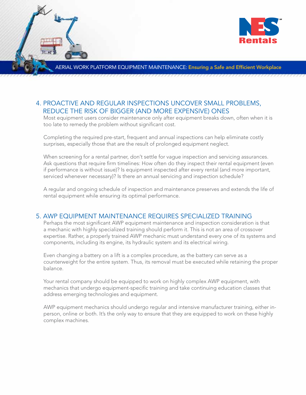

RK PLATFORM EQUIPMENT MAINTENANCE: Ensuring a Safe and Efficient Workplace

## 4. PROACTIVE AND REGULAR INSPECTIONS UNCOVER SMALL PROBLEMS, REDUCE THE RISK OF BIGGER (AND MORE EXPENSIVE) ONES

Most equipment users consider maintenance only after equipment breaks down, often when it is too late to remedy the problem without significant cost.

Completing the required pre-start, frequent and annual inspections can help eliminate costly surprises, especially those that are the result of prolonged equipment neglect.

When screening for a rental partner, don't settle for vague inspection and servicing assurances. Ask questions that require firm timelines: How often do they inspect their rental equipment (even if performance is without issue)? Is equipment inspected after every rental (and more important, serviced whenever necessary)? Is there an annual servicing and inspection schedule?

A regular and ongoing schedule of inspection and maintenance preserves and extends the life of rental equipment while ensuring its optimal performance.

#### 5. AWP EQUIPMENT MAINTENANCE REQUIRES SPECIALIZED TRAINING

Perhaps the most significant AWP equipment maintenance and inspection consideration is that a mechanic with highly specialized training should perform it. This is not an area of crossover expertise. Rather, a properly trained AWP mechanic must understand every one of its systems and components, including its engine, its hydraulic system and its electrical wiring.

Even changing a battery on a lift is a complex procedure, as the battery can serve as a counterweight for the entire system. Thus, its removal must be executed while retaining the proper balance.

Your rental company should be equipped to work on highly complex AWP equipment, with mechanics that undergo equipment-specific training and take continuing education classes that address emerging technologies and equipment.

AWP equipment mechanics should undergo regular and intensive manufacturer training, either inperson, online or both. It's the only way to ensure that they are equipped to work on these highly complex machines.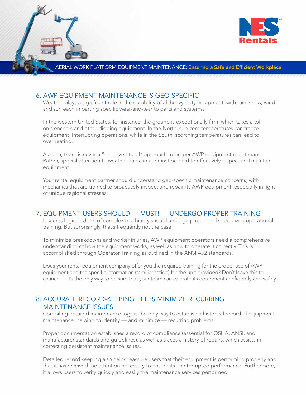

#### RK PLATFORM EQUIPMENT MAINTENANCE: Ensuring a Safe and Efficient Workplace

#### 6. AWP EQUIPMENT MAINTENANCE IS GEO-SPECIFIC

Weather plays a significant role in the durability of all heavy-duty equipment, with rain, snow, wind and sun each imparting specific wear-and-tear to parts and systems.

In the western United States, for instance, the ground is exceptionally firm, which takes a toll on trenchers and other digging equipment. In the North, sub-zero temperatures can freeze equipment, interrupting operations, while in the South, scorching temperatures can lead to overheating.

As such, there is never a "one-size-fits-all" approach to proper AWP equipment maintenance. Rather, special attention to weather and climate must be paid to effectively inspect and maintain equipment.

Your rental equipment partner should understand geo-specific maintenance concerns, with mechanics that are trained to proactively inspect and repair its AWP equipment, especially in light of unique regional stresses.

#### 7. EQUIPMENT USERS SHOULD — MUST! — UNDERGO PROPER TRAINING

It seems logical: Users of complex machinery should undergo proper and specialized operational training. But surprisingly, that's frequently not the case.

To minimize breakdowns and worker injuries, AWP equipment operators need a comprehensive understanding of how the equipment works, as well as how to operate it correctly. This is accomplished through Operator Training as outlined in the ANSI A92 standards.

Does your rental equipment company offer you the required training for the proper use of AWP equipment and the specific information (familiarization) for the unit provided? Don't leave this to chance — it's the only way to be sure that your team can operate its equipment confidently and safely.

## 8. ACCURATE RECORD-KEEPING HELPS MINIMIZE RECURRING MAINTENANCE ISSUES

Compiling detailed maintenance logs is the only way to establish a historical record of equipment maintenance, helping to identify — and minimize — recurring problems.

Proper documentation establishes a record of compliance (essential for OSHA, ANSI, and manufacturer standards and guidelines), as well as traces a history of repairs, which assists in correcting persistent maintenance issues.

Detailed record keeping also helps reassure users that their equipment is performing properly and that it has received the attention necessary to ensure its uninterrupted performance. Furthermore, it allows users to verify quickly and easily the maintenance services performed.